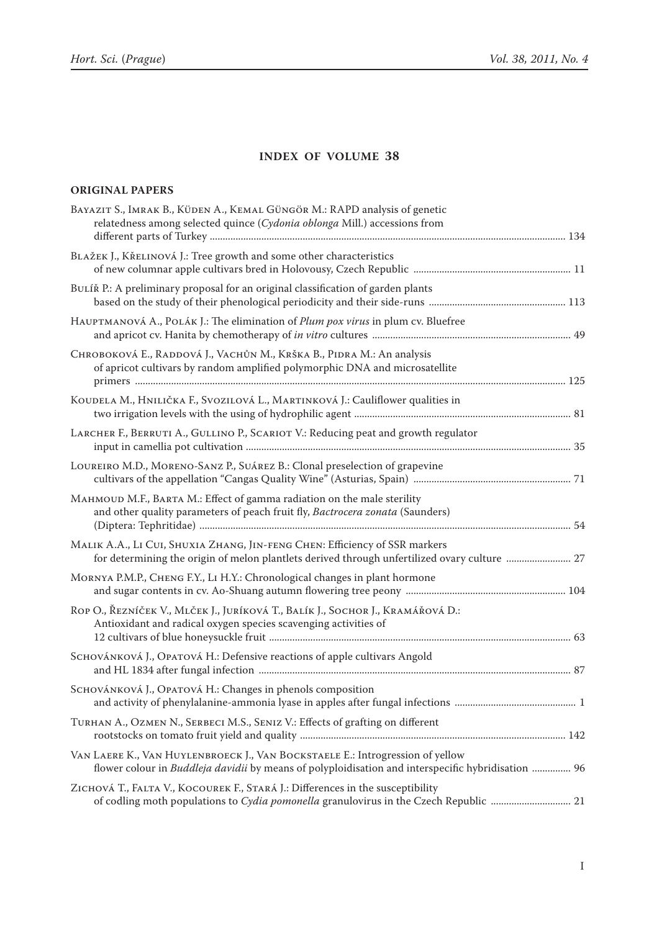## **Index of volume 38**

## **Original Papers**

| BAYAZIT S., IMRAK B., KÜDEN A., KEMAL GÜNGÖR M.: RAPD analysis of genetic<br>relatedness among selected quince (Cydonia oblonga Mill.) accessions from                                     |  |
|--------------------------------------------------------------------------------------------------------------------------------------------------------------------------------------------|--|
| BLAŽEK J., KŘELINOVÁ J.: Tree growth and some other characteristics                                                                                                                        |  |
| BULÍŘ P.: A preliminary proposal for an original classification of garden plants                                                                                                           |  |
| HAUPTMANOVÁ A., POLÁK J.: The elimination of <i>Plum pox virus</i> in plum cv. Bluefree                                                                                                    |  |
| Снковокоvá E., RADDOVÁ J., VACHŮN M., KRŠKA B., PIDRA M.: An analysis<br>of apricot cultivars by random amplified polymorphic DNA and microsatellite                                       |  |
| KOUDELA M., HNILIČKA F., SVOZILOVÁ L., MARTINKOVÁ J.: Cauliflower qualities in                                                                                                             |  |
| LARCHER F., BERRUTI A., GULLINO P., SCARIOT V.: Reducing peat and growth regulator                                                                                                         |  |
| LOUREIRO M.D., MORENO-SANZ P., SUÁREZ B.: Clonal preselection of grapevine                                                                                                                 |  |
| МАНМОUD M.F., ВАRТА M.: Effect of gamma radiation on the male sterility<br>and other quality parameters of peach fruit fly, Bactrocera zonata (Saunders)                                   |  |
| MALIK A.A., LI CUI, SHUXIA ZHANG, JIN-FENG CHEN: Efficiency of SSR markers<br>for determining the origin of melon plantlets derived through unfertilized ovary culture  27                 |  |
| MORNYA P.M.P., CHENG F.Y., LI H.Y.: Chronological changes in plant hormone                                                                                                                 |  |
| ROP O., ŘEZNÍČEK V., MLČEK J., JURÍKOVÁ T., BALÍK J., SOCHOR J., KRAMÁŘOVÁ D.:<br>Antioxidant and radical oxygen species scavenging activities of                                          |  |
| SCHOVÁNKOVÁ J., OPATOVÁ H.: Defensive reactions of apple cultivars Angold                                                                                                                  |  |
| SCHOVÁNKOVÁ J., OPATOVÁ H.: Changes in phenols composition                                                                                                                                 |  |
| TURHAN A., OZMEN N., SERBECI M.S., SENIZ V.: Effects of grafting on different                                                                                                              |  |
| VAN LAERE K., VAN HUYLENBROECK J., VAN BOCKSTAELE E.: Introgression of yellow<br>flower colour in <i>Buddleja davidii</i> by means of polyploidisation and interspecific hybridisation  96 |  |
| ZICHOVÁ T., FALTA V., KOCOUREK F., STARÁ J.: Differences in the susceptibility<br>of codling moth populations to Cydia pomonella granulovirus in the Czech Republic  21                    |  |